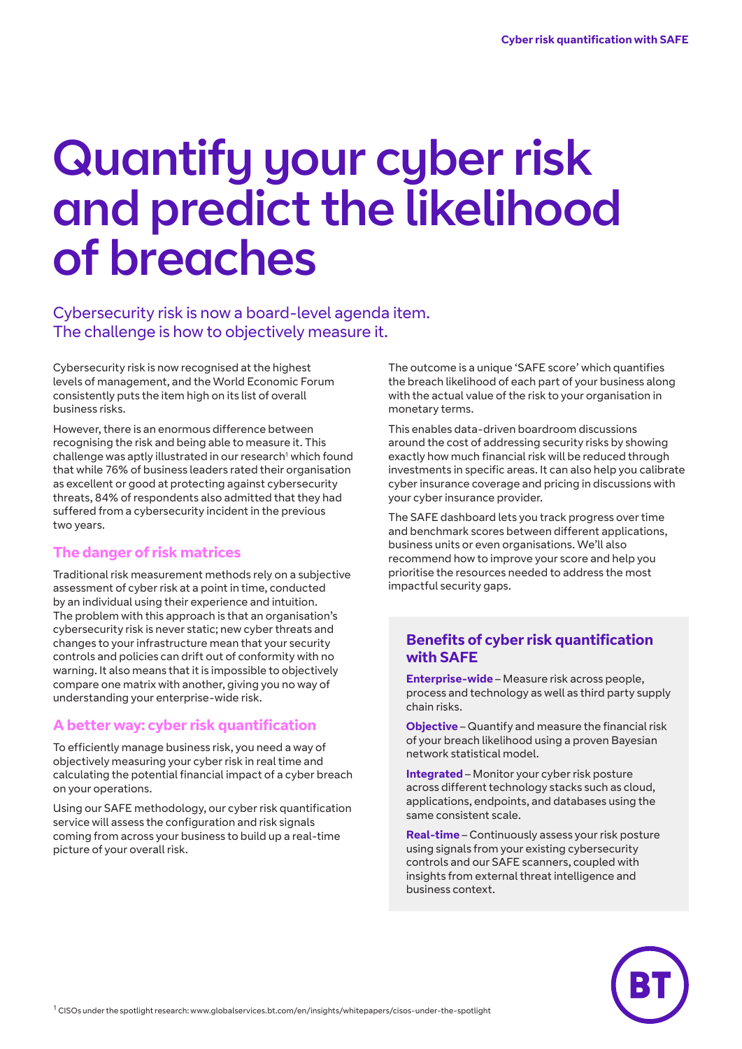# Quantify your cyber risk and predict the likelihood of breaches

Cybersecurity risk is now a board-level agenda item. The challenge is how to objectively measure it.

Cybersecurity risk is now recognised at the highest levels of management, and the World Economic Forum consistently puts the item high on its list of overall business risks.

However, there is an enormous difference between recognising the risk and being able to measure it. This challenge was aptly illustrated in our research<sup>1</sup> which found that while 76% of business leaders rated their organisation as excellent or good at protecting against cybersecurity threats, 84% of respondents also admitted that they had suffered from a cybersecurity incident in the previous two years.

#### **The danger of risk matrices**

Traditional risk measurement methods rely on a subjective assessment of cyber risk at a point in time, conducted by an individual using their experience and intuition. The problem with this approach is that an organisation's cybersecurity risk is never static; new cyber threats and changes to your infrastructure mean that your security controls and policies can drift out of conformity with no warning. It also means that it is impossible to objectively compare one matrix with another, giving you no way of understanding your enterprise-wide risk.

#### **A better way: cyber risk quantification**

To efficiently manage business risk, you need a way of objectively measuring your cyber risk in real time and calculating the potential financial impact of a cyber breach on your operations.

Using our SAFE methodology, our cyber risk quantification service will assess the configuration and risk signals coming from across your business to build up a real-time picture of your overall risk.

The outcome is a unique 'SAFE score' which quantifies the breach likelihood of each part of your business along with the actual value of the risk to your organisation in monetary terms.

This enables data-driven boardroom discussions around the cost of addressing security risks by showing exactly how much financial risk will be reduced through investments in specific areas. It can also help you calibrate cyber insurance coverage and pricing in discussions with your cyber insurance provider.

The SAFE dashboard lets you track progress over time and benchmark scores between different applications, business units or even organisations. We'll also recommend how to improve your score and help you prioritise the resources needed to address the most impactful security gaps.

#### **Benefits of cyber risk quantification with SAFE**

**Enterprise-wide** – Measure risk across people, process and technology as well as third party supply chain risks.

**Objective** – Quantify and measure the financial risk of your breach likelihood using a proven Bayesian network statistical model.

**Integrated** – Monitor your cyber risk posture across different technology stacks such as cloud, applications, endpoints, and databases using the same consistent scale.

**Real-time** – Continuously assess your risk posture using signals from your existing cybersecurity controls and our SAFE scanners, coupled with insights from external threat intelligence and business context.